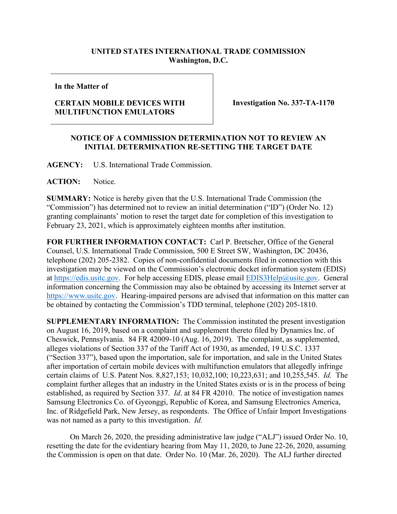## **UNITED STATES INTERNATIONAL TRADE COMMISSION Washington, D.C.**

## **In the Matter of**

## **CERTAIN MOBILE DEVICES WITH MULTIFUNCTION EMULATORS**

**Investigation No. 337-TA-1170**

## **NOTICE OF A COMMISSION DETERMINATION NOT TO REVIEW AN INITIAL DETERMINATION RE-SETTING THE TARGET DATE**

**AGENCY:** U.S. International Trade Commission.

ACTION: Notice.

**SUMMARY:** Notice is hereby given that the U.S. International Trade Commission (the "Commission") has determined not to review an initial determination ("ID") (Order No. 12) granting complainants' motion to reset the target date for completion of this investigation to February 23, 2021, which is approximately eighteen months after institution.

**FOR FURTHER INFORMATION CONTACT:** Carl P. Bretscher, Office of the General Counsel, U.S. International Trade Commission, 500 E Street SW, Washington, DC 20436, telephone (202) 205-2382. Copies of non-confidential documents filed in connection with this investigation may be viewed on the Commission's electronic docket information system (EDIS) at [https://edis.usitc.gov.](https://edis.usitc.gov/) For help accessing EDIS, please email [EDIS3Help@usitc.gov.](mailto:EDIS3Help@usitc.gov) General information concerning the Commission may also be obtained by accessing its Internet server at [https://www.usitc.gov.](https://www.usitc.gov/) Hearing-impaired persons are advised that information on this matter can be obtained by contacting the Commission's TDD terminal, telephone (202) 205-1810.

**SUPPLEMENTARY INFORMATION:** The Commission instituted the present investigation on August 16, 2019, based on a complaint and supplement thereto filed by Dynamics Inc. of Cheswick, Pennsylvania. 84 FR 42009-10 (Aug. 16, 2019). The complaint, as supplemented, alleges violations of Section 337 of the Tariff Act of 1930, as amended, 19 U.S.C. 1337 ("Section 337"), based upon the importation, sale for importation, and sale in the United States after importation of certain mobile devices with multifunction emulators that allegedly infringe certain claims of U.S. Patent Nos. 8,827,153; 10,032,100; 10,223,631; and 10,255,545. *Id.* The complaint further alleges that an industry in the United States exists or is in the process of being established, as required by Section 337. *Id*. at 84 FR 42010. The notice of investigation names Samsung Electronics Co. of Gyeonggi, Republic of Korea, and Samsung Electronics America, Inc. of Ridgefield Park, New Jersey, as respondents. The Office of Unfair Import Investigations was not named as a party to this investigation. *Id.*

On March 26, 2020, the presiding administrative law judge ("ALJ") issued Order No. 10, resetting the date for the evidentiary hearing from May 11, 2020, to June 22-26, 2020, assuming the Commission is open on that date. Order No. 10 (Mar. 26, 2020). The ALJ further directed